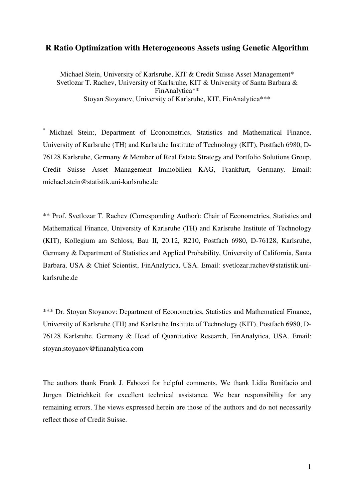# **R Ratio Optimization with Heterogeneous Assets using Genetic Algorithm**

Michael Stein, University of Karlsruhe, KIT & Credit Suisse Asset Management\* Svetlozar T. Rachev, University of Karlsruhe, KIT & University of Santa Barbara & FinAnalytica\*\* Stoyan Stoyanov, University of Karlsruhe, KIT, FinAnalytica\*\*\*

\* Michael Stein:, Department of Econometrics, Statistics and Mathematical Finance, University of Karlsruhe (TH) and Karlsruhe Institute of Technology (KIT), Postfach 6980, D-76128 Karlsruhe, Germany & Member of Real Estate Strategy and Portfolio Solutions Group, Credit Suisse Asset Management Immobilien KAG, Frankfurt, Germany. Email: michael.stein@statistik.uni-karlsruhe.de

\*\* Prof. Svetlozar T. Rachev (Corresponding Author): Chair of Econometrics, Statistics and Mathematical Finance, University of Karlsruhe (TH) and Karlsruhe Institute of Technology (KIT), Kollegium am Schloss, Bau II, 20.12, R210, Postfach 6980, D-76128, Karlsruhe, Germany & Department of Statistics and Applied Probability, University of California, Santa Barbara, USA & Chief Scientist, FinAnalytica, USA. Email: svetlozar.rachev@statistik.unikarlsruhe.de

\*\*\* Dr. Stoyan Stoyanov: Department of Econometrics, Statistics and Mathematical Finance, University of Karlsruhe (TH) and Karlsruhe Institute of Technology (KIT), Postfach 6980, D-76128 Karlsruhe, Germany & Head of Quantitative Research, FinAnalytica, USA. Email: stoyan.stoyanov@finanalytica.com

The authors thank Frank J. Fabozzi for helpful comments. We thank Lidia Bonifacio and Jürgen Dietrichkeit for excellent technical assistance. We bear responsibility for any remaining errors. The views expressed herein are those of the authors and do not necessarily reflect those of Credit Suisse.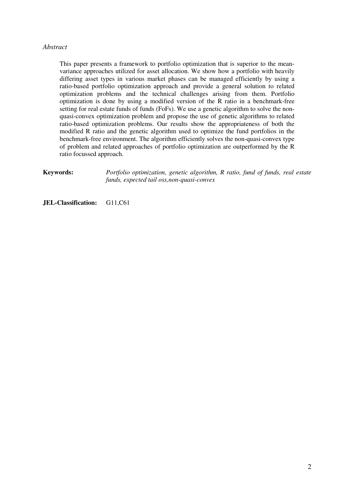# *Abstract*

This paper presents a framework to portfolio optimization that is superior to the meanvariance approaches utilized for asset allocation. We show how a portfolio with heavily differing asset types in various market phases can be managed efficiently by using a ratio-based portfolio optimization approach and provide a general solution to related optimization problems and the technical challenges arising from them. Portfolio optimization is done by using a modified version of the R ratio in a benchmark-free setting for real estate funds of funds (FoFs). We use a genetic algorithm to solve the nonquasi-convex optimization problem and propose the use of genetic algorithms to related ratio-based optimization problems. Our results show the appropriateness of both the modified R ratio and the genetic algorithm used to optimize the fund portfolios in the benchmark-free environment. The algorithm efficiently solves the non-quasi-convex type of problem and related approaches of portfolio optimization are outperformed by the R ratio focussed approach.

**Keywords:** *Portfolio optimization, genetic algorithm, R ratio, fund of funds, real estate funds, expected tail oss,non-quasi-convex* 

**JEL-Classification:** G11,C61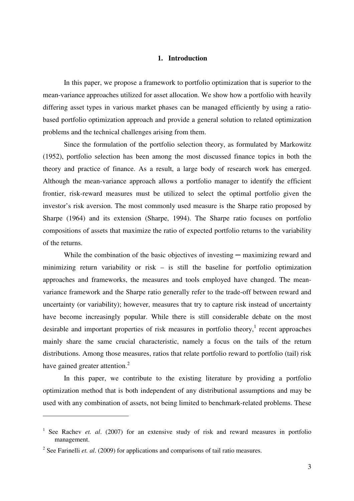#### **1. Introduction**

In this paper, we propose a framework to portfolio optimization that is superior to the mean-variance approaches utilized for asset allocation. We show how a portfolio with heavily differing asset types in various market phases can be managed efficiently by using a ratiobased portfolio optimization approach and provide a general solution to related optimization problems and the technical challenges arising from them.

Since the formulation of the portfolio selection theory, as formulated by Markowitz (1952), portfolio selection has been among the most discussed finance topics in both the theory and practice of finance. As a result, a large body of research work has emerged. Although the mean-variance approach allows a portfolio manager to identify the efficient frontier, risk-reward measures must be utilized to select the optimal portfolio given the investor's risk aversion. The most commonly used measure is the Sharpe ratio proposed by Sharpe (1964) and its extension (Sharpe, 1994). The Sharpe ratio focuses on portfolio compositions of assets that maximize the ratio of expected portfolio returns to the variability of the returns.

While the combination of the basic objectives of investing  $-$  maximizing reward and minimizing return variability or risk – is still the baseline for portfolio optimization approaches and frameworks, the measures and tools employed have changed. The meanvariance framework and the Sharpe ratio generally refer to the trade-off between reward and uncertainty (or variability); however, measures that try to capture risk instead of uncertainty have become increasingly popular. While there is still considerable debate on the most desirable and important properties of risk measures in portfolio theory,<sup>1</sup> recent approaches mainly share the same crucial characteristic, namely a focus on the tails of the return distributions. Among those measures, ratios that relate portfolio reward to portfolio (tail) risk have gained greater attention. $2$ 

In this paper, we contribute to the existing literature by providing a portfolio optimization method that is both independent of any distributional assumptions and may be used with any combination of assets, not being limited to benchmark-related problems. These

 $\overline{a}$ 

<sup>&</sup>lt;sup>1</sup> See Rachev *et. al.* (2007) for an extensive study of risk and reward measures in portfolio management.

<sup>&</sup>lt;sup>2</sup> See Farinelli *et. al.* (2009) for applications and comparisons of tail ratio measures.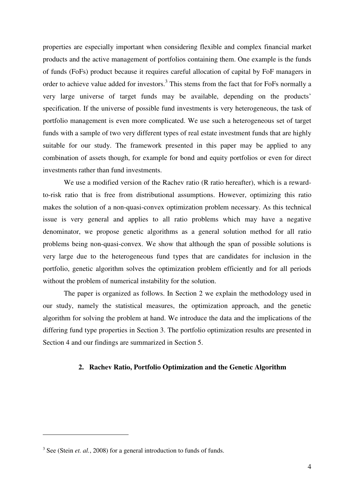properties are especially important when considering flexible and complex financial market products and the active management of portfolios containing them. One example is the funds of funds (FoFs) product because it requires careful allocation of capital by FoF managers in order to achieve value added for investors.<sup>3</sup> This stems from the fact that for FoFs normally a very large universe of target funds may be available, depending on the products' specification. If the universe of possible fund investments is very heterogeneous, the task of portfolio management is even more complicated. We use such a heterogeneous set of target funds with a sample of two very different types of real estate investment funds that are highly suitable for our study. The framework presented in this paper may be applied to any combination of assets though, for example for bond and equity portfolios or even for direct investments rather than fund investments.

We use a modified version of the Rachev ratio (R ratio hereafter), which is a rewardto-risk ratio that is free from distributional assumptions. However, optimizing this ratio makes the solution of a non-quasi-convex optimization problem necessary. As this technical issue is very general and applies to all ratio problems which may have a negative denominator, we propose genetic algorithms as a general solution method for all ratio problems being non-quasi-convex. We show that although the span of possible solutions is very large due to the heterogeneous fund types that are candidates for inclusion in the portfolio, genetic algorithm solves the optimization problem efficiently and for all periods without the problem of numerical instability for the solution.

The paper is organized as follows. In Section 2 we explain the methodology used in our study, namely the statistical measures, the optimization approach, and the genetic algorithm for solving the problem at hand. We introduce the data and the implications of the differing fund type properties in Section 3. The portfolio optimization results are presented in Section 4 and our findings are summarized in Section 5.

# **2. Rachev Ratio, Portfolio Optimization and the Genetic Algorithm**

 $\overline{a}$ 

<sup>&</sup>lt;sup>3</sup> See (Stein *et. al.*, 2008) for a general introduction to funds of funds.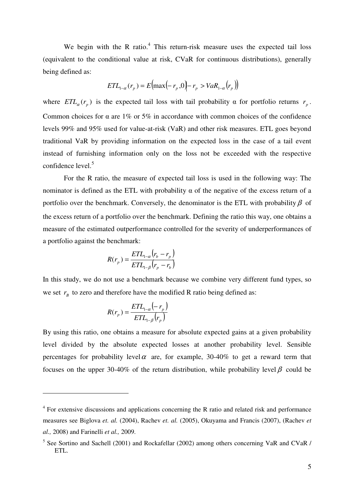We begin with the R ratio. $4$  This return-risk measure uses the expected tail loss (equivalent to the conditional value at risk, CVaR for continuous distributions), generally being defined as:

$$
ETL_{1-\alpha}(r_p) = E\big(\max\bigl(-r_p, 0\bigr) - r_p > VaR_{1-\alpha}(r_p)\big)
$$

where  $ETL_{\alpha}(r_p)$  is the expected tail loss with tail probability  $\alpha$  for portfolio returns  $r_p$ . Common choices for  $\alpha$  are 1% or 5% in accordance with common choices of the confidence levels 99% and 95% used for value-at-risk (VaR) and other risk measures. ETL goes beyond traditional VaR by providing information on the expected loss in the case of a tail event instead of furnishing information only on the loss not be exceeded with the respective confidence level. $5$ 

For the R ratio, the measure of expected tail loss is used in the following way: The nominator is defined as the ETL with probability  $\alpha$  of the negative of the excess return of a portfolio over the benchmark. Conversely, the denominator is the ETL with probability  $\beta$  of the excess return of a portfolio over the benchmark. Defining the ratio this way, one obtains a measure of the estimated outperformance controlled for the severity of underperformances of a portfolio against the benchmark:

$$
R(r_p) = \frac{ETL_{1-\alpha}(r_b - r_p)}{ETL_{1-\beta}(r_p - r_b)}
$$

In this study, we do not use a benchmark because we combine very different fund types, so we set  $r_B$  to zero and therefore have the modified R ratio being defined as:

$$
R(r_p) = \frac{ETL_{1-\alpha}(-r_p)}{ETL_{1-\beta}(r_p)}
$$

 $\overline{a}$ 

By using this ratio, one obtains a measure for absolute expected gains at a given probability level divided by the absolute expected losses at another probability level. Sensible percentages for probability level  $\alpha$  are, for example, 30-40% to get a reward term that focuses on the upper 30-40% of the return distribution, while probability level  $\beta$  could be

<sup>&</sup>lt;sup>4</sup> For extensive discussions and applications concerning the R ratio and related risk and performance measures see Biglova *et. al.* (2004), Rachev *et. al.* (2005), Okuyama and Francis (2007), (Rachev *et al.,* 2008) and Farinelli *et al.,* 2009.

<sup>&</sup>lt;sup>5</sup> See Sortino and Sachell (2001) and Rockafellar (2002) among others concerning VaR and CVaR / ETL.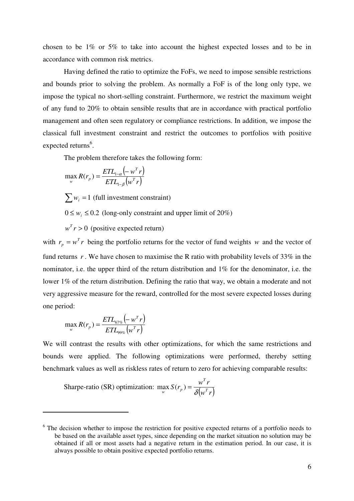chosen to be 1% or 5% to take into account the highest expected losses and to be in accordance with common risk metrics.

Having defined the ratio to optimize the FoFs, we need to impose sensible restrictions and bounds prior to solving the problem. As normally a FoF is of the long only type, we impose the typical no short-selling constraint. Furthermore, we restrict the maximum weight of any fund to 20% to obtain sensible results that are in accordance with practical portfolio management and often seen regulatory or compliance restrictions. In addition, we impose the classical full investment constraint and restrict the outcomes to portfolios with positive expected returns<sup>6</sup>.

The problem therefore takes the following form:

$$
\max_{w} R(r_p) = \frac{ETL_{1-\alpha}(-w^T r)}{ETL_{1-\beta}(w^T r)}
$$

 $\sum w_i = 1$  (full investment constraint)

 $0 \leq w_i \leq 0.2$  (long-only constraint and upper limit of 20%)

 $w^T r > 0$  (positive expected return)

with  $r_p = w^T r$  being the portfolio returns for the vector of fund weights *w* and the vector of fund returns *r* . We have chosen to maximise the R ratio with probability levels of 33% in the nominator, i.e. the upper third of the return distribution and 1% for the denominator, i.e. the lower 1% of the return distribution. Defining the ratio that way, we obtain a moderate and not very aggressive measure for the reward, controlled for the most severe expected losses during one period:

$$
\max_{w} R(r_p) = \frac{ETL_{67\%}(-w^T r)}{ETL_{99\%}(w^T r)}
$$

l

We will contrast the results with other optimizations, for which the same restrictions and bounds were applied. The following optimizations were performed, thereby setting benchmark values as well as riskless rates of return to zero for achieving comparable results:

Sharpe-ratio (SR) optimization:  $\max_{w} S(r_p) = \frac{w^T r}{\delta(w^T r)}$ *T*  $\max_{w} S(r_p) = \frac{W}{\delta(w^T r)}$ 

<sup>&</sup>lt;sup>6</sup> The decision whether to impose the restriction for positive expected returns of a portfolio needs to be based on the available asset types, since depending on the market situation no solution may be obtained if all or most assets had a negative return in the estimation period. In our case, it is always possible to obtain positive expected portfolio returns.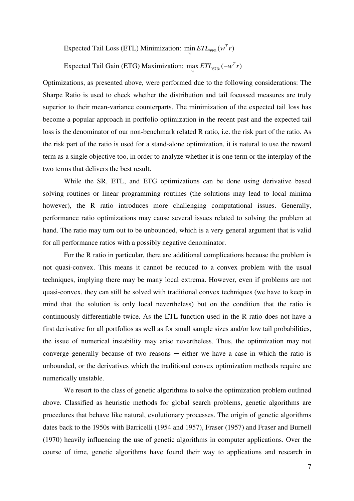Expected Tail Loss (ETL) Minimization:  $\min ETL_{99\%}(w^T r)$ *w*

Expected Tail Gain (ETG) Maximization: max  $ETL_{67\%}(-w^T r)$ <sub>w</sub> *ETL*<sub>67%</sub> (−

Optimizations, as presented above, were performed due to the following considerations: The Sharpe Ratio is used to check whether the distribution and tail focussed measures are truly superior to their mean-variance counterparts. The minimization of the expected tail loss has become a popular approach in portfolio optimization in the recent past and the expected tail loss is the denominator of our non-benchmark related R ratio, i.e. the risk part of the ratio. As the risk part of the ratio is used for a stand-alone optimization, it is natural to use the reward term as a single objective too, in order to analyze whether it is one term or the interplay of the two terms that delivers the best result.

While the SR, ETL, and ETG optimizations can be done using derivative based solving routines or linear programming routines (the solutions may lead to local minima however), the R ratio introduces more challenging computational issues. Generally, performance ratio optimizations may cause several issues related to solving the problem at hand. The ratio may turn out to be unbounded, which is a very general argument that is valid for all performance ratios with a possibly negative denominator.

For the R ratio in particular, there are additional complications because the problem is not quasi-convex. This means it cannot be reduced to a convex problem with the usual techniques, implying there may be many local extrema. However, even if problems are not quasi-convex, they can still be solved with traditional convex techniques (we have to keep in mind that the solution is only local nevertheless) but on the condition that the ratio is continuously differentiable twice. As the ETL function used in the R ratio does not have a first derivative for all portfolios as well as for small sample sizes and/or low tail probabilities, the issue of numerical instability may arise nevertheless. Thus, the optimization may not converge generally because of two reasons  $-$  either we have a case in which the ratio is unbounded, or the derivatives which the traditional convex optimization methods require are numerically unstable.

We resort to the class of genetic algorithms to solve the optimization problem outlined above. Classified as heuristic methods for global search problems, genetic algorithms are procedures that behave like natural, evolutionary processes. The origin of genetic algorithms dates back to the 1950s with Barricelli (1954 and 1957), Fraser (1957) and Fraser and Burnell (1970) heavily influencing the use of genetic algorithms in computer applications. Over the course of time, genetic algorithms have found their way to applications and research in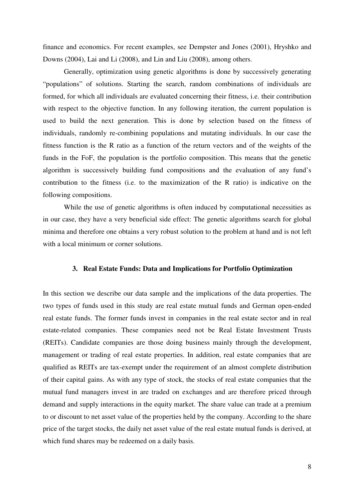finance and economics. For recent examples, see Dempster and Jones (2001), Hryshko and Downs (2004), Lai and Li (2008), and Lin and Liu (2008), among others.

Generally, optimization using genetic algorithms is done by successively generating "populations" of solutions. Starting the search, random combinations of individuals are formed, for which all individuals are evaluated concerning their fitness, i.e. their contribution with respect to the objective function. In any following iteration, the current population is used to build the next generation. This is done by selection based on the fitness of individuals, randomly re-combining populations and mutating individuals. In our case the fitness function is the R ratio as a function of the return vectors and of the weights of the funds in the FoF, the population is the portfolio composition. This means that the genetic algorithm is successively building fund compositions and the evaluation of any fund's contribution to the fitness (i.e. to the maximization of the R ratio) is indicative on the following compositions.

While the use of genetic algorithms is often induced by computational necessities as in our case, they have a very beneficial side effect: The genetic algorithms search for global minima and therefore one obtains a very robust solution to the problem at hand and is not left with a local minimum or corner solutions.

#### **3. Real Estate Funds: Data and Implications for Portfolio Optimization**

In this section we describe our data sample and the implications of the data properties. The two types of funds used in this study are real estate mutual funds and German open-ended real estate funds. The former funds invest in companies in the real estate sector and in real estate-related companies. These companies need not be Real Estate Investment Trusts (REITs). Candidate companies are those doing business mainly through the development, management or trading of real estate properties. In addition, real estate companies that are qualified as REITs are tax-exempt under the requirement of an almost complete distribution of their capital gains. As with any type of stock, the stocks of real estate companies that the mutual fund managers invest in are traded on exchanges and are therefore priced through demand and supply interactions in the equity market. The share value can trade at a premium to or discount to net asset value of the properties held by the company. According to the share price of the target stocks, the daily net asset value of the real estate mutual funds is derived, at which fund shares may be redeemed on a daily basis.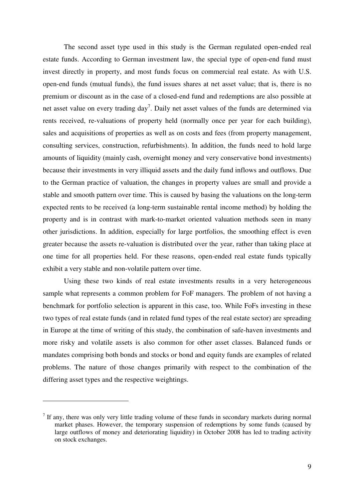The second asset type used in this study is the German regulated open-ended real estate funds. According to German investment law, the special type of open-end fund must invest directly in property, and most funds focus on commercial real estate. As with U.S. open-end funds (mutual funds), the fund issues shares at net asset value; that is, there is no premium or discount as in the case of a closed-end fund and redemptions are also possible at net asset value on every trading day<sup>7</sup>. Daily net asset values of the funds are determined via rents received, re-valuations of property held (normally once per year for each building), sales and acquisitions of properties as well as on costs and fees (from property management, consulting services, construction, refurbishments). In addition, the funds need to hold large amounts of liquidity (mainly cash, overnight money and very conservative bond investments) because their investments in very illiquid assets and the daily fund inflows and outflows. Due to the German practice of valuation, the changes in property values are small and provide a stable and smooth pattern over time. This is caused by basing the valuations on the long-term expected rents to be received (a long-term sustainable rental income method) by holding the property and is in contrast with mark-to-market oriented valuation methods seen in many other jurisdictions. In addition, especially for large portfolios, the smoothing effect is even greater because the assets re-valuation is distributed over the year, rather than taking place at one time for all properties held. For these reasons, open-ended real estate funds typically exhibit a very stable and non-volatile pattern over time.

Using these two kinds of real estate investments results in a very heterogeneous sample what represents a common problem for FoF managers. The problem of not having a benchmark for portfolio selection is apparent in this case, too. While FoFs investing in these two types of real estate funds (and in related fund types of the real estate sector) are spreading in Europe at the time of writing of this study, the combination of safe-haven investments and more risky and volatile assets is also common for other asset classes. Balanced funds or mandates comprising both bonds and stocks or bond and equity funds are examples of related problems. The nature of those changes primarily with respect to the combination of the differing asset types and the respective weightings.

 $\overline{a}$ 

 $<sup>7</sup>$  If any, there was only very little trading volume of these funds in secondary markets during normal</sup> market phases. However, the temporary suspension of redemptions by some funds (caused by large outflows of money and deteriorating liquidity) in October 2008 has led to trading activity on stock exchanges.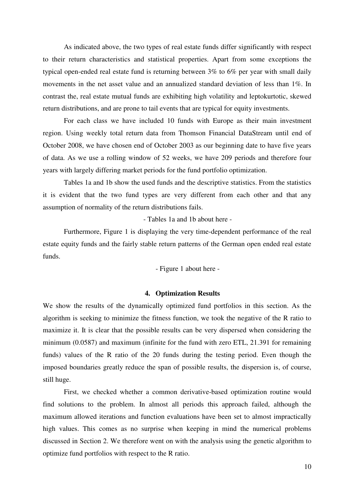As indicated above, the two types of real estate funds differ significantly with respect to their return characteristics and statistical properties. Apart from some exceptions the typical open-ended real estate fund is returning between 3% to 6% per year with small daily movements in the net asset value and an annualized standard deviation of less than 1%. In contrast the, real estate mutual funds are exhibiting high volatility and leptokurtotic, skewed return distributions, and are prone to tail events that are typical for equity investments.

For each class we have included 10 funds with Europe as their main investment region. Using weekly total return data from Thomson Financial DataStream until end of October 2008, we have chosen end of October 2003 as our beginning date to have five years of data. As we use a rolling window of 52 weeks, we have 209 periods and therefore four years with largely differing market periods for the fund portfolio optimization.

Tables 1a and 1b show the used funds and the descriptive statistics. From the statistics it is evident that the two fund types are very different from each other and that any assumption of normality of the return distributions fails.

- Tables 1a and 1b about here -

Furthermore, Figure 1 is displaying the very time-dependent performance of the real estate equity funds and the fairly stable return patterns of the German open ended real estate funds.

- Figure 1 about here -

## **4. Optimization Results**

We show the results of the dynamically optimized fund portfolios in this section. As the algorithm is seeking to minimize the fitness function, we took the negative of the R ratio to maximize it. It is clear that the possible results can be very dispersed when considering the minimum (0.0587) and maximum (infinite for the fund with zero ETL, 21.391 for remaining funds) values of the R ratio of the 20 funds during the testing period. Even though the imposed boundaries greatly reduce the span of possible results, the dispersion is, of course, still huge.

First, we checked whether a common derivative-based optimization routine would find solutions to the problem. In almost all periods this approach failed, although the maximum allowed iterations and function evaluations have been set to almost impractically high values. This comes as no surprise when keeping in mind the numerical problems discussed in Section 2. We therefore went on with the analysis using the genetic algorithm to optimize fund portfolios with respect to the R ratio.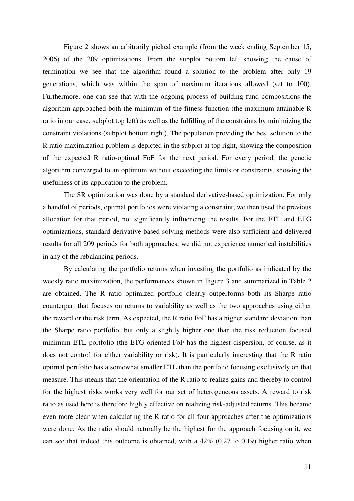Figure 2 shows an arbitrarily picked example (from the week ending September 15, 2006) of the 209 optimizations. From the subplot bottom left showing the cause of termination we see that the algorithm found a solution to the problem after only 19 generations, which was within the span of maximum iterations allowed (set to 100). Furthermore, one can see that with the ongoing process of building fund compositions the algorithm approached both the minimum of the fitness function (the maximum attainable R ratio in our case, subplot top left) as well as the fulfilling of the constraints by minimizing the constraint violations (subplot bottom right). The population providing the best solution to the R ratio maximization problem is depicted in the subplot at top right, showing the composition of the expected R ratio-optimal FoF for the next period. For every period, the genetic algorithm converged to an optimum without exceeding the limits or constraints, showing the usefulness of its application to the problem.

The SR optimization was done by a standard derivative-based optimization. For only a handful of periods, optimal portfolios were violating a constraint; we then used the previous allocation for that period, not significantly influencing the results. For the ETL and ETG optimizations, standard derivative-based solving methods were also sufficient and delivered results for all 209 periods for both approaches, we did not experience numerical instabilities in any of the rebalancing periods.

By calculating the portfolio returns when investing the portfolio as indicated by the weekly ratio maximization, the performances shown in Figure 3 and summarized in Table 2 are obtained. The R ratio optimized portfolio clearly outperforms both its Sharpe ratio counterpart that focuses on returns to variability as well as the two approaches using either the reward or the risk term. As expected, the R ratio FoF has a higher standard deviation than the Sharpe ratio portfolio, but only a slightly higher one than the risk reduction focused minimum ETL portfolio (the ETG oriented FoF has the highest dispersion, of course, as it does not control for either variability or risk). It is particularly interesting that the R ratio optimal portfolio has a somewhat smaller ETL than the portfolio focusing exclusively on that measure. This means that the orientation of the R ratio to realize gains and thereby to control for the highest risks works very well for our set of heterogeneous assets. A reward to risk ratio as used here is therefore highly effective on realizing risk-adjusted returns. This became even more clear when calculating the R ratio for all four approaches after the optimizations were done. As the ratio should naturally be the highest for the approach focusing on it, we can see that indeed this outcome is obtained, with a 42% (0.27 to 0.19) higher ratio when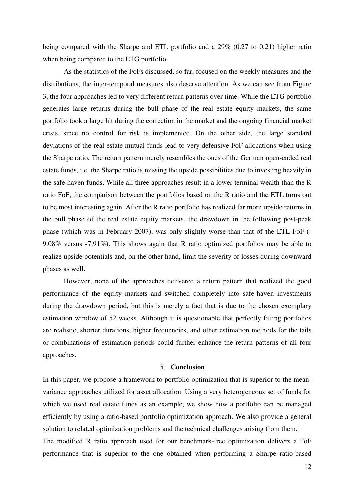being compared with the Sharpe and ETL portfolio and a 29% (0.27 to 0.21) higher ratio when being compared to the ETG portfolio.

As the statistics of the FoFs discussed, so far, focused on the weekly measures and the distributions, the inter-temporal measures also deserve attention. As we can see from Figure 3, the four approaches led to very different return patterns over time. While the ETG portfolio generates large returns during the bull phase of the real estate equity markets, the same portfolio took a large hit during the correction in the market and the ongoing financial market crisis, since no control for risk is implemented. On the other side, the large standard deviations of the real estate mutual funds lead to very defensive FoF allocations when using the Sharpe ratio. The return pattern merely resembles the ones of the German open-ended real estate funds, i.e. the Sharpe ratio is missing the upside possibilities due to investing heavily in the safe-haven funds. While all three approaches result in a lower terminal wealth than the R ratio FoF, the comparison between the portfolios based on the R ratio and the ETL turns out to be most interesting again. After the R ratio portfolio has realized far more upside returns in the bull phase of the real estate equity markets, the drawdown in the following post-peak phase (which was in February 2007), was only slightly worse than that of the ETL FoF (- 9.08% versus -7.91%). This shows again that R ratio optimized portfolios may be able to realize upside potentials and, on the other hand, limit the severity of losses during downward phases as well.

However, none of the approaches delivered a return pattern that realized the good performance of the equity markets and switched completely into safe-haven investments during the drawdown period, but this is merely a fact that is due to the chosen exemplary estimation window of 52 weeks. Although it is questionable that perfectly fitting portfolios are realistic, shorter durations, higher frequencies, and other estimation methods for the tails or combinations of estimation periods could further enhance the return patterns of all four approaches.

# 5. **Conclusion**

In this paper, we propose a framework to portfolio optimization that is superior to the meanvariance approaches utilized for asset allocation. Using a very heterogeneous set of funds for which we used real estate funds as an example, we show how a portfolio can be managed efficiently by using a ratio-based portfolio optimization approach. We also provide a general solution to related optimization problems and the technical challenges arising from them.

The modified R ratio approach used for our benchmark-free optimization delivers a FoF performance that is superior to the one obtained when performing a Sharpe ratio-based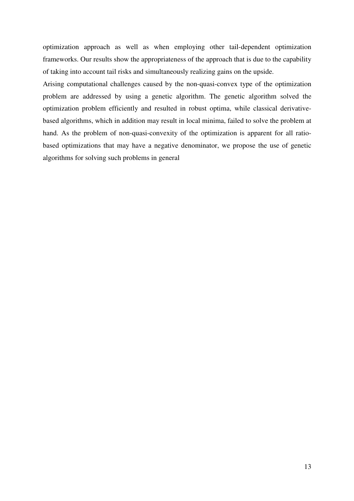optimization approach as well as when employing other tail-dependent optimization frameworks. Our results show the appropriateness of the approach that is due to the capability of taking into account tail risks and simultaneously realizing gains on the upside.

Arising computational challenges caused by the non-quasi-convex type of the optimization problem are addressed by using a genetic algorithm. The genetic algorithm solved the optimization problem efficiently and resulted in robust optima, while classical derivativebased algorithms, which in addition may result in local minima, failed to solve the problem at hand. As the problem of non-quasi-convexity of the optimization is apparent for all ratiobased optimizations that may have a negative denominator, we propose the use of genetic algorithms for solving such problems in general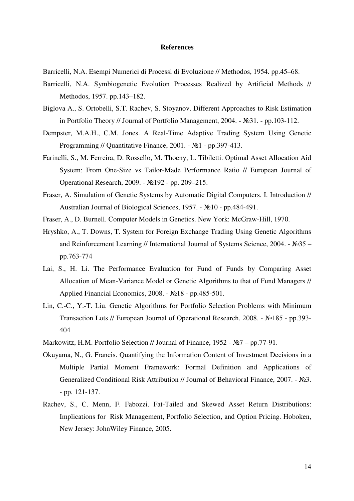#### **References**

Barricelli, N.A. Esempi Numerici di Processi di Evoluzione // Methodos, 1954. pp.45–68.

- Barricelli, N.A. Symbiogenetic Evolution Processes Realized by Artificial Methods // Methodos, 1957. pp.143–182.
- Biglova A., S. Ortobelli, S.T. Rachev, S. Stoyanov. Different Approaches to Risk Estimation in Portfolio Theory // Journal of Portfolio Management, 2004. - №31. - pp.103-112.
- Dempster, M.A.H., C.M. Jones. A Real-Time Adaptive Trading System Using Genetic Programming // Quantitative Finance, 2001. - №1 - pp.397-413.
- Farinelli, S., M. Ferreira, D. Rossello, M. Thoeny, L. Tibiletti. Optimal Asset Allocation Aid System: From One-Size vs Tailor-Made Performance Ratio // European Journal of Operational Research, 2009. - №192 - pp. 209–215.
- Fraser, A. Simulation of Genetic Systems by Automatic Digital Computers. I. Introduction // Australian Journal of Biological Sciences, 1957. - №10 - pp.484-491.
- Fraser, A., D. Burnell. Computer Models in Genetics. New York: McGraw-Hill, 1970.
- Hryshko, A., T. Downs, T. System for Foreign Exchange Trading Using Genetic Algorithms and Reinforcement Learning // International Journal of Systems Science, 2004. - №35 – pp.763-774
- Lai, S., H. Li. The Performance Evaluation for Fund of Funds by Comparing Asset Allocation of Mean-Variance Model or Genetic Algorithms to that of Fund Managers // Applied Financial Economics, 2008. - №18 - pp.485-501.
- Lin, C.-C., Y.-T. Liu. Genetic Algorithms for Portfolio Selection Problems with Minimum Transaction Lots // European Journal of Operational Research, 2008. - №185 - pp.393- 404
- Markowitz, H.M. Portfolio Selection // Journal of Finance, 1952 №7 pp.77-91.
- Okuyama, N., G. Francis. Quantifying the Information Content of Investment Decisions in a Multiple Partial Moment Framework: Formal Definition and Applications of Generalized Conditional Risk Attribution // Journal of Behavioral Finance, 2007. - №3. - pp. 121-137.
- Rachev, S., C. Menn, F. Fabozzi. Fat-Tailed and Skewed Asset Return Distributions: Implications for Risk Management, Portfolio Selection, and Option Pricing. Hoboken, New Jersey: JohnWiley Finance, 2005.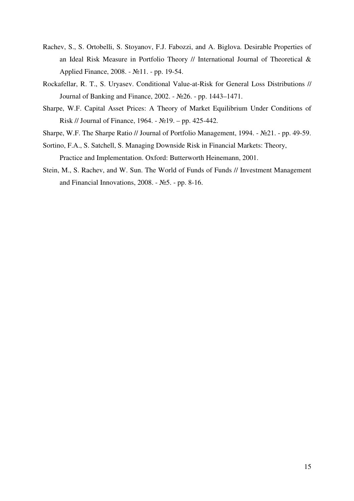- Rachev, S., S. Ortobelli, S. Stoyanov, F.J. Fabozzi, and A. Biglova. Desirable Properties of an Ideal Risk Measure in Portfolio Theory // International Journal of Theoretical & Applied Finance, 2008. - №11. - pp. 19-54.
- Rockafellar, R. T., S. Uryasev. Conditional Value-at-Risk for General Loss Distributions // Journal of Banking and Finance, 2002. - №26. - pp. 1443–1471.
- Sharpe, W.F. Capital Asset Prices: A Theory of Market Equilibrium Under Conditions of Risk // Journal of Finance, 1964. - №19. – pp. 425-442.
- Sharpe, W.F. The Sharpe Ratio // Journal of Portfolio Management, 1994. №21. pp. 49-59.
- Sortino, F.A., S. Satchell, S. Managing Downside Risk in Financial Markets: Theory, Practice and Implementation. Oxford: Butterworth Heinemann, 2001.
- Stein, M., S. Rachev, and W. Sun. The World of Funds of Funds // Investment Management and Financial Innovations, 2008. - №5. - pp. 8-16.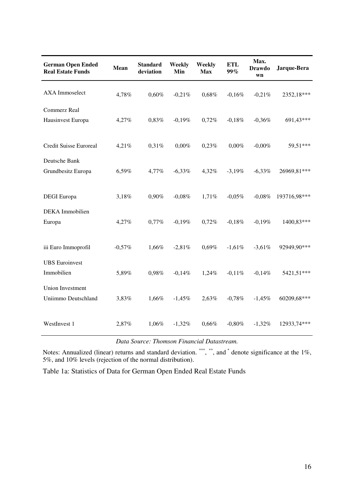| <b>German Open Ended</b><br><b>Real Estate Funds</b> | Mean     | <b>Standard</b><br>deviation | Weekly<br>Min | Weekly<br><b>Max</b> | <b>ETL</b><br>99% | Max.<br><b>Drawdo</b><br>wn | Jarque-Bera  |
|------------------------------------------------------|----------|------------------------------|---------------|----------------------|-------------------|-----------------------------|--------------|
| <b>AXA</b> Immoselect                                | 4,78%    | 0,60%                        | $-0,21%$      | 0,68%                | $-0.16%$          | $-0,21%$                    | 2352,18***   |
| Commerz Real<br>Hausinvest Europa                    | 4,27%    | 0,83%                        | $-0,19%$      | 0,72%                | $-0,18%$          | $-0,36%$                    | 691,43***    |
| <b>Credit Suisse Euroreal</b>                        | 4,21%    | 0,31%                        | $0,00\%$      | 0,23%                | $0,00\%$          | $-0,00\%$                   | 59,51***     |
| Deutsche Bank<br>Grundbesitz Europa                  | 6,59%    | 4,77%                        | $-6,33%$      | 4,32%                | $-3,19%$          | $-6,33%$                    | 26969,81***  |
| <b>DEGI</b> Europa                                   | 3,18%    | 0,90%                        | $-0.08%$      | 1,71%                | $-0.05%$          | $-0.08%$                    | 193716,98*** |
| <b>DEKA</b> Immobilien<br>Europa                     | 4,27%    | 0,77%                        | $-0,19%$      | 0,72%                | $-0.18%$          | $-0,19%$                    | 1400,83***   |
| iii Euro Immoprofil                                  | $-0,57%$ | 1,66%                        | $-2,81%$      | 0,69%                | $-1,61%$          | $-3,61%$                    | 92949,90***  |
| <b>UBS</b> Euroinvest<br>Immobilien                  | 5,89%    | 0,98%                        | $-0,14%$      | 1,24%                | $-0.11%$          | $-0,14%$                    | 5421,51***   |
| <b>Union Investment</b><br>Uniimmo Deutschland       | 3,83%    | 1,66%                        | $-1,45%$      | 2,63%                | $-0,78%$          | $-1,45%$                    | 60209,68***  |
| WestInvest 1                                         | 2,87%    | 1,06%                        | $-1,32%$      | 0,66%                | $-0,80%$          | $-1,32%$                    | 12933,74***  |

*Data Source: Thomson Financial Datastream.* 

Notes: Annualized (linear) returns and standard deviation.  $\overset{***}{\phantom{0}}$ , and  $\overset{*}{\phantom{0}}$  denote significance at the 1%, 5%, and 10% levels (rejection of the normal distribution).

Table 1a: Statistics of Data for German Open Ended Real Estate Funds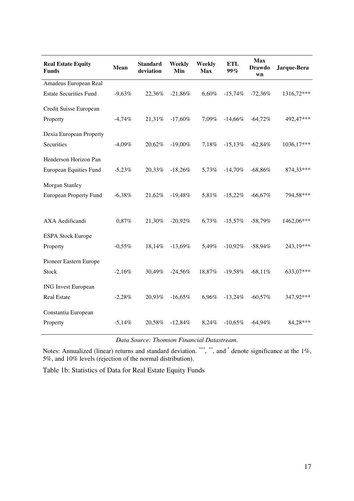| <b>Real Estate Equity</b><br><b>Funds</b> | <b>Mean</b> | <b>Standard</b><br>deviation | Weekly<br>Min | Weekly<br><b>Max</b> | ETL<br>99% | <b>Max</b><br><b>Drawdo</b><br>wn | Jarque-Bera |
|-------------------------------------------|-------------|------------------------------|---------------|----------------------|------------|-----------------------------------|-------------|
| Amadeus European Real                     |             |                              |               |                      |            |                                   |             |
| <b>Estate Securities Fund</b>             | $-9,63%$    | 22,36%                       | $-21,86%$     | 6,60%                | $-15,74%$  | $-72,36%$                         | 1316,72***  |
| Credit Suisse European                    |             |                              |               |                      |            |                                   |             |
| Property                                  | $-4,74%$    | 21,31%                       | $-17,60\%$    | 7,09%                | $-14,66\%$ | $-64,72\%$                        | 492,47***   |
| Dexia European Property                   |             |                              |               |                      |            |                                   |             |
| Securities                                | $-4,09\%$   | 20,62%                       | $-19,00\%$    | 7,18%                | $-15,13%$  | $-62,84%$                         | 1036,17***  |
| Henderson Horizon Pan                     |             |                              |               |                      |            |                                   |             |
| <b>European Equities Fund</b>             | $-5,23%$    | 20,33%                       | $-18,26%$     | 5,73%                | $-14,70\%$ | $-68,86%$                         | 874,33***   |
| Morgan Stanley                            |             |                              |               |                      |            |                                   |             |
| <b>European Property Fund</b>             | $-6,38%$    | 21,62%                       | $-19,48%$     | 5,81%                | $-15,22%$  | $-66,67%$                         | 794,58***   |
|                                           |             |                              |               |                      |            |                                   |             |
| AXA Aedificandi                           | 0,87%       | 21,30%                       | $-20,92%$     | 6,73%                | $-15,57\%$ | $-58,79\%$                        | 1462,06***  |
| <b>ESPA Stock Europe</b>                  |             |                              |               |                      |            |                                   |             |
| Property                                  | $-0.55\%$   | 18,14%                       | $-13,69\%$    | 5,49%                | $-10,92\%$ | $-58,94%$                         | 243,19***   |
| Pioneer Eastern Europe                    |             |                              |               |                      |            |                                   |             |
| <b>Stock</b>                              | $-2,16%$    | 30,49%                       | $-24,56%$     | 18,87%               | $-19,58%$  | $-68,11%$                         | 633,07***   |
| <b>ING Invest European</b>                |             |                              |               |                      |            |                                   |             |
| <b>Real Estate</b>                        | $-2,28\%$   | 20,93%                       | $-16,65%$     | 6,96%                | $-13,24\%$ | $-60,57\%$                        | 347,92***   |
| Constantia European                       |             |                              |               |                      |            |                                   |             |
| Property                                  | $-5,14%$    | 20,58%                       | $-12,84%$     | 8,24%                | $-10,65\%$ | $-64,94%$                         | 84,28***    |

*Data Source: Thomson Financial Datastream.* 

Notes: Annualized (linear) returns and standard deviation.  $\overset{***}{\phantom{0}}$ , and  $\overset{*}{\phantom{0}}$  denote significance at the 1%, 5%, and 10% levels (rejection of the normal distribution).

Table 1b: Statistics of Data for Real Estate Equity Funds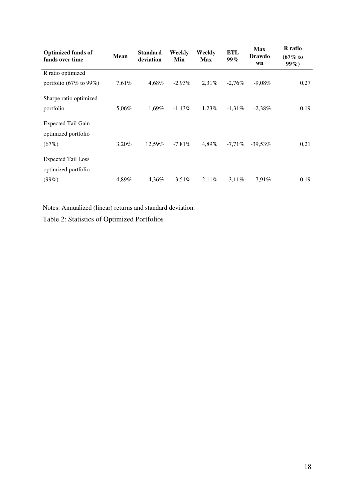| <b>Optimized funds of</b><br>funds over time | <b>Mean</b> | <b>Standard</b><br>deviation | Weekly<br>Min | Weekly<br><b>Max</b> | <b>ETL</b><br>$99\%$ | <b>Max</b><br><b>Drawdo</b><br>wn | <b>R</b> ratio<br>$(67\% \text{ to }$<br>$99\%)$ |
|----------------------------------------------|-------------|------------------------------|---------------|----------------------|----------------------|-----------------------------------|--------------------------------------------------|
| R ratio optimized                            |             |                              |               |                      |                      |                                   |                                                  |
| portfolio $(67\% \text{ to } 99\%)$          | $7,61\%$    | 4.68%                        | $-2.93\%$     | $2.31\%$             | $-2.76\%$            | $-9,08\%$                         | 0,27                                             |
| Sharpe ratio optimized                       |             |                              |               |                      |                      |                                   |                                                  |
| portfolio                                    | 5,06%       | 1.69%                        | $-1.43\%$     | $1.23\%$             | $-1.31\%$            | $-2,38\%$                         | 0,19                                             |
| <b>Expected Tail Gain</b>                    |             |                              |               |                      |                      |                                   |                                                  |
| optimized portfolio                          |             |                              |               |                      |                      |                                   |                                                  |
| (67%)                                        | 3,20%       | 12,59%                       | $-7,81\%$     | 4.89%                | $-7,71\%$            | $-39.53\%$                        | 0,21                                             |
| <b>Expected Tail Loss</b>                    |             |                              |               |                      |                      |                                   |                                                  |
| optimized portfolio                          |             |                              |               |                      |                      |                                   |                                                  |
| $(99\%)$                                     | 4,89%       | 4.36%                        | $-3.51\%$     | $2.11\%$             | $-3.11\%$            | $-7.91\%$                         | 0,19                                             |

Notes: Annualized (linear) returns and standard deviation.

Table 2: Statistics of Optimized Portfolios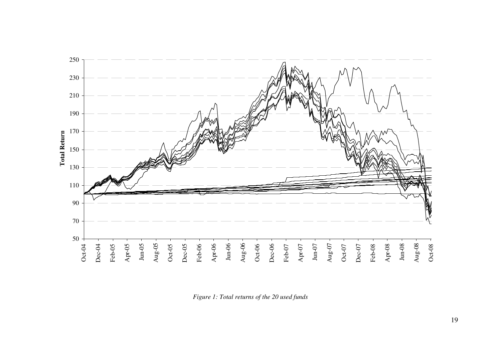

*Figure 1: Total returns of the 20 used funds*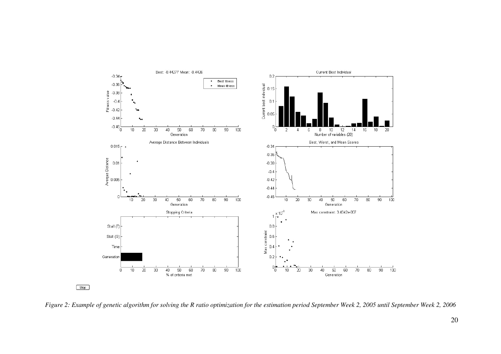

*Figure 2: Example of genetic algorithm for solving the R ratio optimization for the estimation period September Week 2, 2005 until September Week 2, 2006*